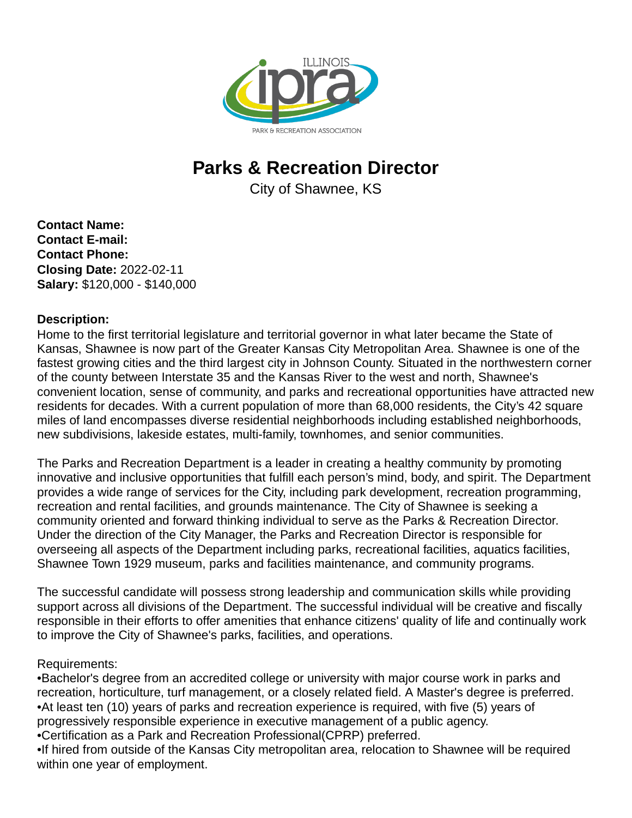

## **Parks & Recreation Director**

City of Shawnee, KS

**Contact Name: Contact E-mail: Contact Phone: Closing Date:** 2022-02-11 **Salary:** \$120,000 - \$140,000

## **Description:**

Home to the first territorial legislature and territorial governor in what later became the State of Kansas, Shawnee is now part of the Greater Kansas City Metropolitan Area. Shawnee is one of the fastest growing cities and the third largest city in Johnson County. Situated in the northwestern corner of the county between Interstate 35 and the Kansas River to the west and north, Shawnee's convenient location, sense of community, and parks and recreational opportunities have attracted new residents for decades. With a current population of more than 68,000 residents, the City's 42 square miles of land encompasses diverse residential neighborhoods including established neighborhoods, new subdivisions, lakeside estates, multi-family, townhomes, and senior communities.

The Parks and Recreation Department is a leader in creating a healthy community by promoting innovative and inclusive opportunities that fulfill each person's mind, body, and spirit. The Department provides a wide range of services for the City, including park development, recreation programming, recreation and rental facilities, and grounds maintenance. The City of Shawnee is seeking a community oriented and forward thinking individual to serve as the Parks & Recreation Director. Under the direction of the City Manager, the Parks and Recreation Director is responsible for overseeing all aspects of the Department including parks, recreational facilities, aquatics facilities, Shawnee Town 1929 museum, parks and facilities maintenance, and community programs.

The successful candidate will possess strong leadership and communication skills while providing support across all divisions of the Department. The successful individual will be creative and fiscally responsible in their efforts to offer amenities that enhance citizens' quality of life and continually work to improve the City of Shawnee's parks, facilities, and operations.

## Requirements:

• Bachelor's degree from an accredited college or university with major course work in parks and recreation, horticulture, turf management, or a closely related field. A Master's degree is preferred.

• At least ten (10) years of parks and recreation experience is required, with five (5) years of progressively responsible experience in executive management of a public agency.

• Certification as a Park and Recreation Professional(CPRP) preferred.

• If hired from outside of the Kansas City metropolitan area, relocation to Shawnee will be required within one year of employment.